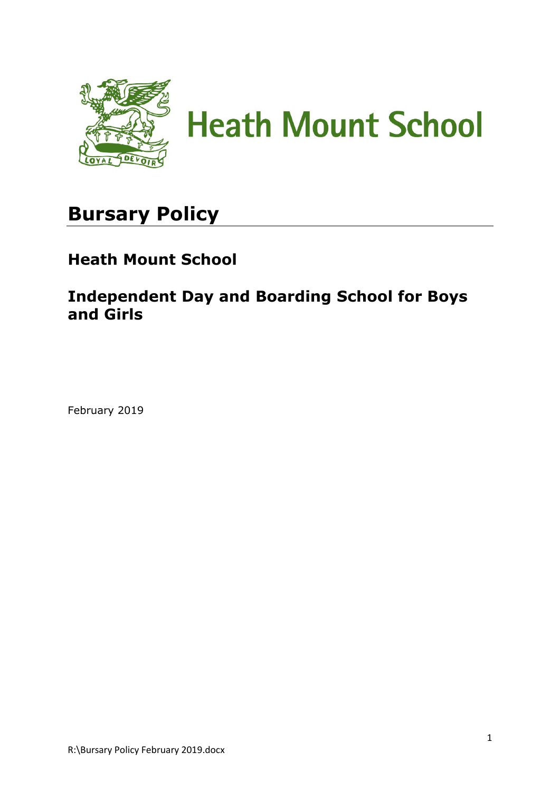

# **Bursary Policy**

# **Heath Mount School**

**Independent Day and Boarding School for Boys and Girls**

February 2019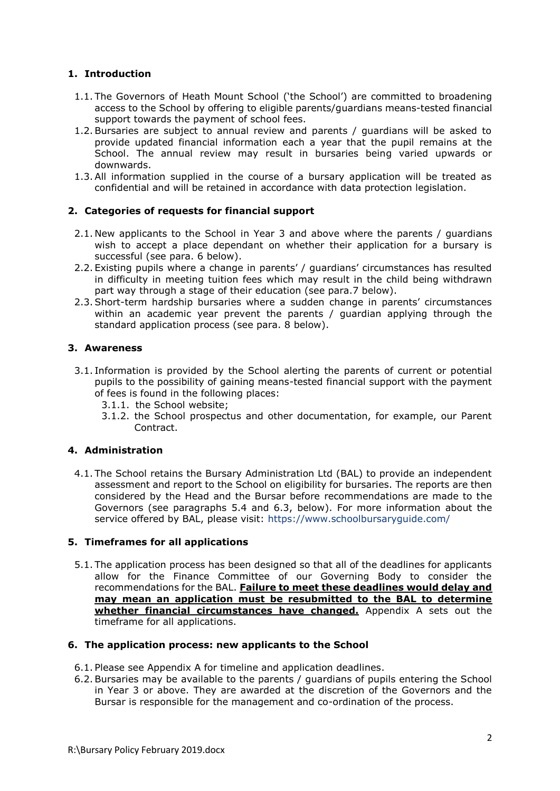# **1. Introduction**

- 1.1. The Governors of Heath Mount School ('the School') are committed to broadening access to the School by offering to eligible parents/guardians means-tested financial support towards the payment of school fees.
- 1.2.Bursaries are subject to annual review and parents / guardians will be asked to provide updated financial information each a year that the pupil remains at the School. The annual review may result in bursaries being varied upwards or downwards.
- 1.3.All information supplied in the course of a bursary application will be treated as confidential and will be retained in accordance with data protection legislation.

# **2. Categories of requests for financial support**

- 2.1. New applicants to the School in Year 3 and above where the parents / guardians wish to accept a place dependant on whether their application for a bursary is successful (see para. 6 below).
- 2.2. Existing pupils where a change in parents' / guardians' circumstances has resulted in difficulty in meeting tuition fees which may result in the child being withdrawn part way through a stage of their education (see para.7 below).
- 2.3.Short-term hardship bursaries where a sudden change in parents' circumstances within an academic year prevent the parents / guardian applying through the standard application process (see para. 8 below).

# **3. Awareness**

- 3.1. Information is provided by the School alerting the parents of current or potential pupils to the possibility of gaining means-tested financial support with the payment of fees is found in the following places:
	- 3.1.1. the School website;
	- 3.1.2. the School prospectus and other documentation, for example, our Parent Contract.

# **4. Administration**

4.1. The School retains the Bursary Administration Ltd (BAL) to provide an independent assessment and report to the School on eligibility for bursaries. The reports are then considered by the Head and the Bursar before recommendations are made to the Governors (see paragraphs 5.4 and 6.3, below). For more information about the service offered by BAL, please visit:<https://www.schoolbursaryguide.com/>

# **5. Timeframes for all applications**

5.1. The application process has been designed so that all of the deadlines for applicants allow for the Finance Committee of our Governing Body to consider the recommendations for the BAL. **Failure to meet these deadlines would delay and may mean an application must be resubmitted to the BAL to determine whether financial circumstances have changed.** Appendix A sets out the timeframe for all applications.

#### **6. The application process: new applicants to the School**

- 6.1. Please see Appendix A for timeline and application deadlines.
- 6.2.Bursaries may be available to the parents / guardians of pupils entering the School in Year 3 or above. They are awarded at the discretion of the Governors and the Bursar is responsible for the management and co-ordination of the process.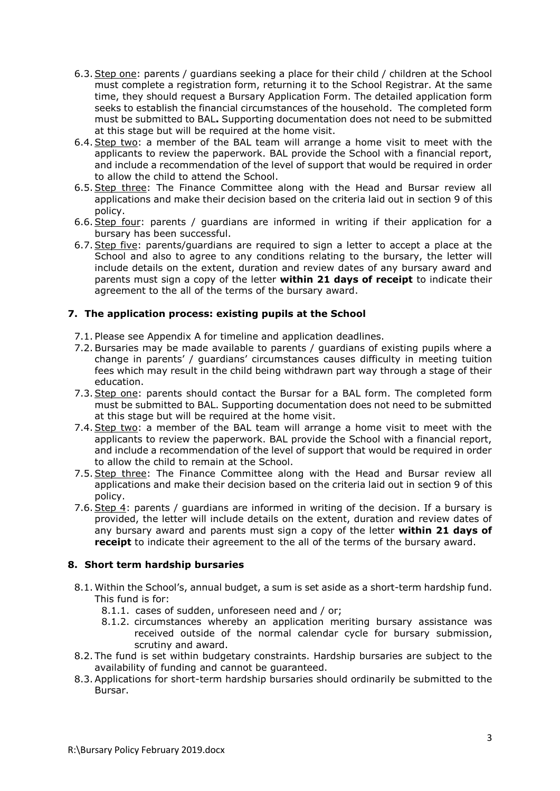- 6.3.Step one: parents / guardians seeking a place for their child / children at the School must complete a registration form, returning it to the School Registrar. At the same time, they should request a Bursary Application Form. The detailed application form seeks to establish the financial circumstances of the household. The completed form must be submitted to BAL**.** Supporting documentation does not need to be submitted at this stage but will be required at the home visit.
- 6.4.Step two: a member of the BAL team will arrange a home visit to meet with the applicants to review the paperwork. BAL provide the School with a financial report, and include a recommendation of the level of support that would be required in order to allow the child to attend the School.
- 6.5.Step three: The Finance Committee along with the Head and Bursar review all applications and make their decision based on the criteria laid out in section 9 of this policy.
- 6.6.Step four: parents / guardians are informed in writing if their application for a bursary has been successful.
- 6.7.Step five: parents/guardians are required to sign a letter to accept a place at the School and also to agree to any conditions relating to the bursary, the letter will include details on the extent, duration and review dates of any bursary award and parents must sign a copy of the letter **within 21 days of receipt** to indicate their agreement to the all of the terms of the bursary award.

#### **7. The application process: existing pupils at the School**

- 7.1. Please see Appendix A for timeline and application deadlines.
- 7.2.Bursaries may be made available to parents / guardians of existing pupils where a change in parents' / guardians' circumstances causes difficulty in meeting tuition fees which may result in the child being withdrawn part way through a stage of their education.
- 7.3.Step one: parents should contact the Bursar for a BAL form. The completed form must be submitted to BAL. Supporting documentation does not need to be submitted at this stage but will be required at the home visit.
- 7.4.Step two: a member of the BAL team will arrange a home visit to meet with the applicants to review the paperwork. BAL provide the School with a financial report, and include a recommendation of the level of support that would be required in order to allow the child to remain at the School.
- 7.5.Step three: The Finance Committee along with the Head and Bursar review all applications and make their decision based on the criteria laid out in section 9 of this policy.
- 7.6. Step  $4$ : parents / guardians are informed in writing of the decision. If a bursary is provided, the letter will include details on the extent, duration and review dates of any bursary award and parents must sign a copy of the letter **within 21 days of receipt** to indicate their agreement to the all of the terms of the bursary award.

# **8. Short term hardship bursaries**

- 8.1. Within the School's, annual budget, a sum is set aside as a short-term hardship fund. This fund is for:
	- 8.1.1. cases of sudden, unforeseen need and / or;
	- 8.1.2. circumstances whereby an application meriting bursary assistance was received outside of the normal calendar cycle for bursary submission, scrutiny and award.
- 8.2. The fund is set within budgetary constraints. Hardship bursaries are subject to the availability of funding and cannot be guaranteed.
- 8.3.Applications for short-term hardship bursaries should ordinarily be submitted to the Bursar.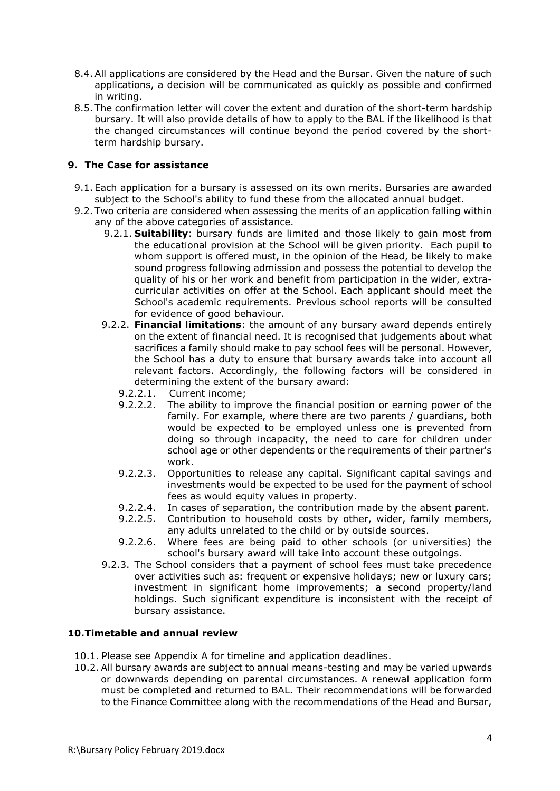- 8.4.All applications are considered by the Head and the Bursar. Given the nature of such applications, a decision will be communicated as quickly as possible and confirmed in writing.
- 8.5. The confirmation letter will cover the extent and duration of the short-term hardship bursary. It will also provide details of how to apply to the BAL if the likelihood is that the changed circumstances will continue beyond the period covered by the shortterm hardship bursary.

# **9. The Case for assistance**

- 9.1. Each application for a bursary is assessed on its own merits. Bursaries are awarded subject to the School's ability to fund these from the allocated annual budget.
- 9.2. Two criteria are considered when assessing the merits of an application falling within any of the above categories of assistance.
	- 9.2.1. **Suitability**: bursary funds are limited and those likely to gain most from the educational provision at the School will be given priority. Each pupil to whom support is offered must, in the opinion of the Head, be likely to make sound progress following admission and possess the potential to develop the quality of his or her work and benefit from participation in the wider, extracurricular activities on offer at the School. Each applicant should meet the School's academic requirements. Previous school reports will be consulted for evidence of good behaviour.
	- 9.2.2. **Financial limitations**: the amount of any bursary award depends entirely on the extent of financial need. It is recognised that judgements about what sacrifices a family should make to pay school fees will be personal. However, the School has a duty to ensure that bursary awards take into account all relevant factors. Accordingly, the following factors will be considered in determining the extent of the bursary award:
		- 9.2.2.1. Current income;
		- 9.2.2.2. The ability to improve the financial position or earning power of the family. For example, where there are two parents / guardians, both would be expected to be employed unless one is prevented from doing so through incapacity, the need to care for children under school age or other dependents or the requirements of their partner's work.
		- 9.2.2.3. Opportunities to release any capital. Significant capital savings and investments would be expected to be used for the payment of school fees as would equity values in property.
		- 9.2.2.4. In cases of separation, the contribution made by the absent parent.
		- 9.2.2.5. Contribution to household costs by other, wider, family members, any adults unrelated to the child or by outside sources.
		- 9.2.2.6. Where fees are being paid to other schools (or universities) the school's bursary award will take into account these outgoings.
	- 9.2.3. The School considers that a payment of school fees must take precedence over activities such as: frequent or expensive holidays; new or luxury cars; investment in significant home improvements; a second property/land holdings. Such significant expenditure is inconsistent with the receipt of bursary assistance.

# **10.Timetable and annual review**

- 10.1. Please see Appendix A for timeline and application deadlines.
- 10.2. All bursary awards are subject to annual means-testing and may be varied upwards or downwards depending on parental circumstances. A renewal application form must be completed and returned to BAL. Their recommendations will be forwarded to the Finance Committee along with the recommendations of the Head and Bursar,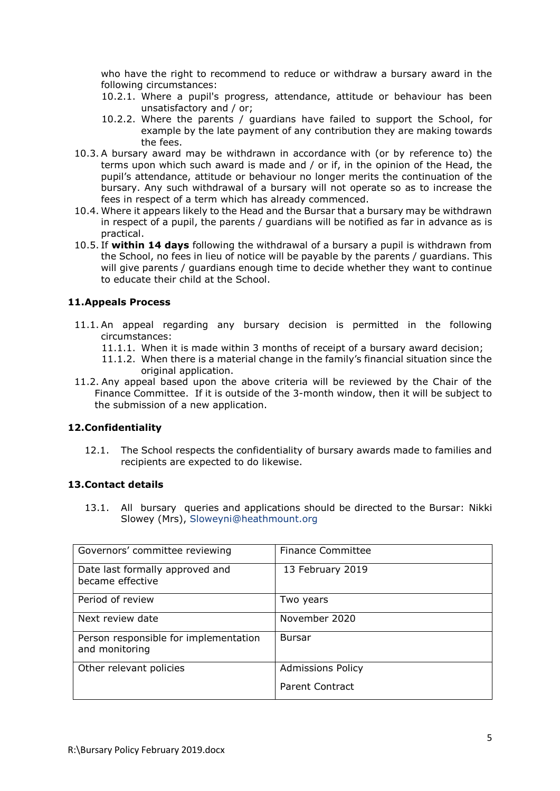who have the right to recommend to reduce or withdraw a bursary award in the following circumstances:

- 10.2.1. Where a pupil's progress, attendance, attitude or behaviour has been unsatisfactory and / or;
- 10.2.2. Where the parents / guardians have failed to support the School, for example by the late payment of any contribution they are making towards the fees.
- 10.3. A bursary award may be withdrawn in accordance with (or by reference to) the terms upon which such award is made and / or if, in the opinion of the Head, the pupil's attendance, attitude or behaviour no longer merits the continuation of the bursary. Any such withdrawal of a bursary will not operate so as to increase the fees in respect of a term which has already commenced.
- 10.4. Where it appears likely to the Head and the Bursar that a bursary may be withdrawn in respect of a pupil, the parents / guardians will be notified as far in advance as is practical.
- 10.5. If **within 14 days** following the withdrawal of a bursary a pupil is withdrawn from the School, no fees in lieu of notice will be payable by the parents / guardians. This will give parents / guardians enough time to decide whether they want to continue to educate their child at the School.

#### **11.Appeals Process**

- 11.1. An appeal regarding any bursary decision is permitted in the following circumstances:
	- 11.1.1. When it is made within 3 months of receipt of a bursary award decision;
	- 11.1.2. When there is a material change in the family's financial situation since the original application.
- 11.2. Any appeal based upon the above criteria will be reviewed by the Chair of the Finance Committee. If it is outside of the 3-month window, then it will be subject to the submission of a new application.

#### **12.Confidentiality**

12.1. The School respects the confidentiality of bursary awards made to families and recipients are expected to do likewise.

#### **13.Contact details**

13.1. All bursary queries and applications should be directed to the Bursar: Nikki Slowey (Mrs), [Sloweyni@heathmount.org](mailto:Sloweyni@heathmount.org)

| Governors' committee reviewing                          | <b>Finance Committee</b> |
|---------------------------------------------------------|--------------------------|
| Date last formally approved and<br>became effective     | 13 February 2019         |
| Period of review                                        | Two years                |
| Next review date                                        | November 2020            |
| Person responsible for implementation<br>and monitoring | <b>Bursar</b>            |
| Other relevant policies                                 | <b>Admissions Policy</b> |
|                                                         | <b>Parent Contract</b>   |